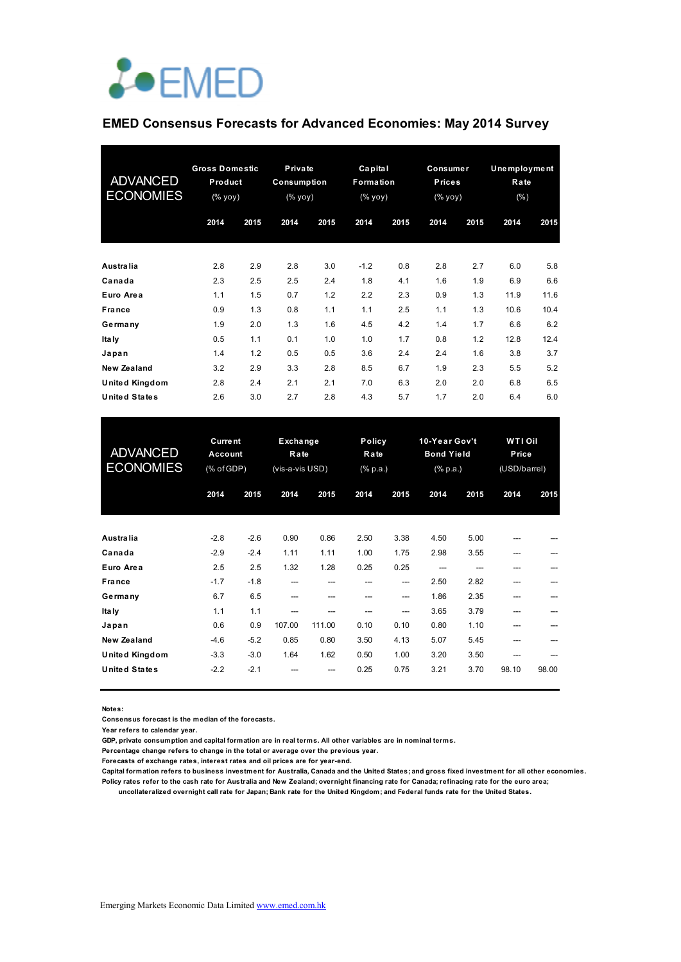

### **EMED Consensus Forecasts for Advanced Economies: May 2014 Survey**

| <b>ADVANCED</b><br><b>ECONOMIES</b> | <b>Gross Domestic</b><br>Product<br>(% yoy) |      | <b>Private</b><br>Consumption<br>(% yoy) |      | Capital<br>Formation<br>(% yoy) |      | Consumer<br><b>Prices</b><br>(% yoy) |      | <b>Unemployment</b><br>Rate<br>$(\% )$ |      |
|-------------------------------------|---------------------------------------------|------|------------------------------------------|------|---------------------------------|------|--------------------------------------|------|----------------------------------------|------|
|                                     | 2014                                        | 2015 | 2014                                     | 2015 | 2014                            | 2015 | 2014                                 | 2015 | 2014                                   | 2015 |
| Australia                           | 2.8                                         | 2.9  | 2.8                                      | 3.0  | $-1.2$                          | 0.8  | 2.8                                  | 2.7  | 6.0                                    | 5.8  |
| Canada                              | 2.3                                         | 2.5  | 2.5                                      | 2.4  | 1.8                             | 4.1  | 1.6                                  | 1.9  | 6.9                                    | 6.6  |
| Euro Area                           | 1.1                                         | 1.5  | 0.7                                      | 1.2  | 2.2                             | 2.3  | 0.9                                  | 1.3  | 11.9                                   | 11.6 |
| <b>France</b>                       | 0.9                                         | 1.3  | 0.8                                      | 1.1  | 1.1                             | 2.5  | 1.1                                  | 1.3  | 10.6                                   | 10.4 |
| Germany                             | 1.9                                         | 2.0  | 1.3                                      | 1.6  | 4.5                             | 4.2  | 1.4                                  | 1.7  | 6.6                                    | 6.2  |
| Ita Iy                              | 0.5                                         | 1.1  | 0.1                                      | 1.0  | 1.0                             | 1.7  | 0.8                                  | 1.2  | 12.8                                   | 12.4 |
| Japan                               | 1.4                                         | 1.2  | 0.5                                      | 0.5  | 3.6                             | 2.4  | 2.4                                  | 1.6  | 3.8                                    | 3.7  |
| New Zealand                         | 3.2                                         | 2.9  | 3.3                                      | 2.8  | 8.5                             | 6.7  | 1.9                                  | 2.3  | 5.5                                    | 5.2  |
| <b>United Kingdom</b>               | 2.8                                         | 2.4  | 2.1                                      | 2.1  | 7.0                             | 6.3  | 2.0                                  | 2.0  | 6.8                                    | 6.5  |
| <b>United States</b>                | 2.6                                         | 3.0  | 2.7                                      | 2.8  | 4.3                             | 5.7  | 1.7                                  | 2.0  | 6.4                                    | 6.0  |

| <b>ADVANCED</b><br><b>ECONOMIES</b> | <b>Current</b><br>Account<br>(% of GDP) |        | Exchange<br>Rate<br>(vis-a-vis USD) |        | Policy<br>Rate<br>$(% \mathbb{R}^2)$ (% p.a.) |       | 10-Year Gov't<br><b>Bond Yield</b><br>$(% \mathbb{R}^2)$ (% p.a.) |      | <b>WTI Oil</b><br>Price<br>(USD/barrel) |       |
|-------------------------------------|-----------------------------------------|--------|-------------------------------------|--------|-----------------------------------------------|-------|-------------------------------------------------------------------|------|-----------------------------------------|-------|
|                                     | 2014                                    | 2015   | 2014                                | 2015   | 2014                                          | 2015  | 2014                                                              | 2015 | 2014                                    | 2015  |
| Australia                           | $-2.8$                                  | $-2.6$ | 0.90                                | 0.86   | 2.50                                          | 3.38  | 4.50                                                              | 5.00 |                                         |       |
| Canada                              | $-2.9$                                  | $-2.4$ | 1.11                                | 1.11   | 1.00                                          | 1.75  | 2.98                                                              | 3.55 | ---                                     |       |
| Euro Area                           | 2.5                                     | 2.5    | 1.32                                | 1.28   | 0.25                                          | 0.25  |                                                                   |      | ---                                     |       |
| France                              | $-1.7$                                  | $-1.8$ | ---                                 |        |                                               | $---$ | 2.50                                                              | 2.82 |                                         |       |
| Germany                             | 6.7                                     | 6.5    | ---                                 |        |                                               | $---$ | 1.86                                                              | 2.35 |                                         |       |
| Italy                               | 1.1                                     | 1.1    |                                     |        |                                               | ---   | 3.65                                                              | 3.79 |                                         |       |
| Japan                               | 0.6                                     | 0.9    | 107.00                              | 111.00 | 0.10                                          | 0.10  | 0.80                                                              | 1.10 |                                         |       |
| <b>New Zealand</b>                  | -4.6                                    | $-5.2$ | 0.85                                | 0.80   | 3.50                                          | 4.13  | 5.07                                                              | 5.45 |                                         |       |
| United Kingdom                      | $-3.3$                                  | $-3.0$ | 1.64                                | 1.62   | 0.50                                          | 1.00  | 3.20                                                              | 3.50 |                                         |       |
| <b>United States</b>                | $-2.2$                                  | $-2.1$ |                                     |        | 0.25                                          | 0.75  | 3.21                                                              | 3.70 | 98.10                                   | 98.00 |

**Notes:** 

**Consensus forecast is the median of the forecasts.**

**Year refers to calendar year.**

**GDP, private consumption and capital formation are in real terms. All other variables are in nominal terms.**

**Percentage change refers to change in the total or average over the previous year.**

**Forecasts of exchange rates, interest rates and oil prices are for year-end.**

**Capital formation refers to business investment for Australia, Canada and the United States; and gross fixed investment for all other economies. Policy rates refer to the cash rate for Australia and New Zealand; overnight financing rate for Canada; refinacing rate for the euro area;** 

 **uncollateralized overnight call rate for Japan; Bank rate for the United Kingdom; and Federal funds rate for the United States.**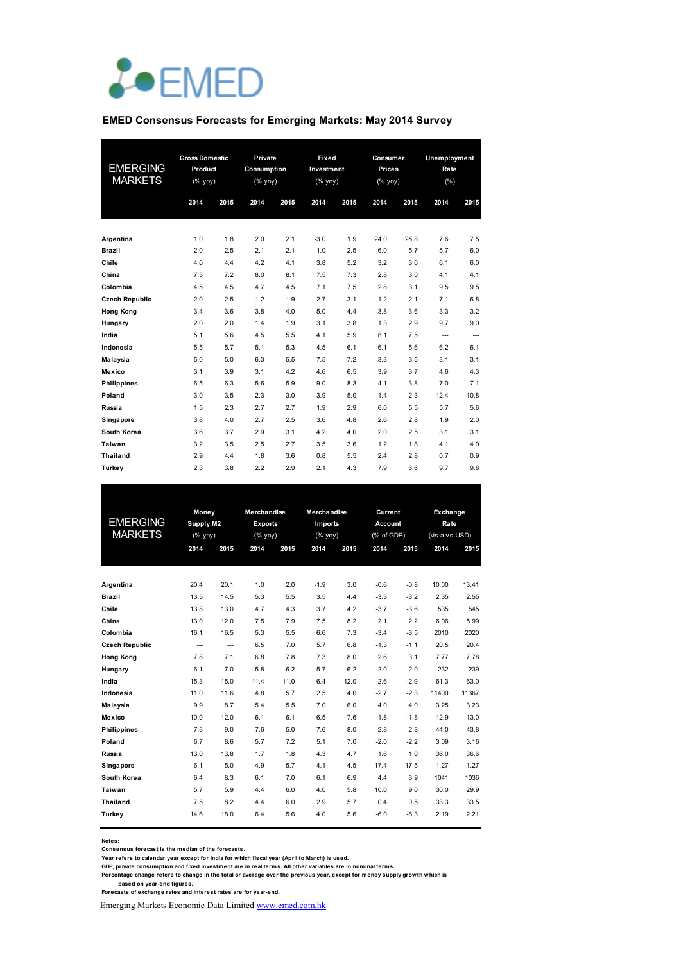

#### **EMED Consensus Forecasts for Emerging Markets: May 2014 Survey**

|                       | <b>Gross Domestic</b>          |      | Private     |      | Fixed                                                              |      | Consumer  |      | Unemployment |      |
|-----------------------|--------------------------------|------|-------------|------|--------------------------------------------------------------------|------|-----------|------|--------------|------|
| <b>EMERGING</b>       | Product                        |      | Consumption |      | Investment                                                         |      | Prices    |      | Rate         |      |
| <b>MARKETS</b>        | $(% \mathsf{y}\right)$ (% yoy) |      | $(%$ yoy)   |      | $(% \mathsf{Y}^{\prime }\mathsf{Y}^{\prime }\mathsf{Y}^{\prime })$ |      | $(%$ yoy) |      | $(\% )$      |      |
|                       | 2014                           | 2015 | 2014        | 2015 | 2014                                                               | 2015 | 2014      | 2015 | 2014         | 2015 |
|                       |                                |      |             |      |                                                                    |      |           |      |              |      |
|                       |                                |      |             |      |                                                                    |      |           |      |              |      |
| Argentina             | 1.0                            | 1.8  | 2.0         | 2.1  | $-3.0$                                                             | 1.9  | 24.0      | 25.8 | 7.6          | 7.5  |
| Brazil                | 2.0                            | 2.5  | 2.1         | 2.1  | 1.0                                                                | 2.5  | 6.0       | 5.7  | 5.7          | 6.0  |
| Chile                 | 4.0                            | 4.4  | 4.2         | 4.1  | 3.8                                                                | 5.2  | 3.2       | 3.0  | 6.1          | 6.0  |
| China                 | 7.3                            | 7.2  | 8.0         | 8.1  | 7.5                                                                | 7.3  | 2.8       | 3.0  | 4.1          | 4.1  |
| Colombia              | 4.5                            | 4.5  | 4.7         | 4.5  | 7.1                                                                | 7.5  | 2.8       | 3.1  | 9.5          | 9.5  |
| <b>Czech Republic</b> | 2.0                            | 2.5  | 1.2         | 1.9  | 2.7                                                                | 3.1  | 1.2       | 2.1  | 7.1          | 6.8  |
| <b>Hong Kong</b>      | 3.4                            | 3.6  | 3.8         | 4.0  | 5.0                                                                | 4.4  | 3.8       | 3.6  | 3.3          | 3.2  |
| Hungary               | 2.0                            | 2.0  | 1.4         | 1.9  | 3.1                                                                | 3.8  | 1.3       | 2.9  | 9.7          | 9.0  |
| India                 | 5.1                            | 5.6  | 4.5         | 5.5  | 4.1                                                                | 5.9  | 8.1       | 7.5  | ---          | ---  |
| Indonesia             | 5.5                            | 5.7  | 5.1         | 5.3  | 4.5                                                                | 6.1  | 6.1       | 5.6  | 6.2          | 6.1  |
| Malaysia              | 5.0                            | 5.0  | 6.3         | 5.5  | 7.5                                                                | 7.2  | 3.3       | 3.5  | 3.1          | 3.1  |
| Mexico                | 3.1                            | 3.9  | 3.1         | 4.2  | 4.6                                                                | 6.5  | 3.9       | 3.7  | 4.6          | 4.3  |
| <b>Philippines</b>    | 6.5                            | 6.3  | 5.6         | 5.9  | 9.0                                                                | 8.3  | 4.1       | 3.8  | 7.0          | 7.1  |
| Poland                | 3.0                            | 3.5  | 2.3         | 3.0  | 3.9                                                                | 5.0  | 1.4       | 2.3  | 12.4         | 10.8 |
| Russia                | 1.5                            | 2.3  | 2.7         | 2.7  | 1.9                                                                | 2.9  | 6.0       | 5.5  | 5.7          | 5.6  |
| Singapore             | 3.8                            | 4.0  | 2.7         | 2.5  | 3.6                                                                | 4.8  | 2.6       | 2.8  | 1.9          | 2.0  |
| South Korea           | 3.6                            | 3.7  | 2.9         | 3.1  | 4.2                                                                | 4.0  | 2.0       | 2.5  | 3.1          | 3.1  |
| Taiwan                | 3.2                            | 3.5  | 2.5         | 2.7  | 3.5                                                                | 3.6  | 1.2       | 1.8  | 4.1          | 4.0  |
| <b>Thailand</b>       | 2.9                            | 4.4  | 1.8         | 3.6  | 0.8                                                                | 5.5  | 2.4       | 2.8  | 0.7          | 0.9  |
| Turkey                | 2.3                            | 3.8  | 2.2         | 2.9  | 2.1                                                                | 4.3  | 7.9       | 6.6  | 9.7          | 9.8  |

|                       | Money          |      |                | <b>Merchandise</b><br>Merchandise |         |      |                | Current | Exchange        |       |
|-----------------------|----------------|------|----------------|-----------------------------------|---------|------|----------------|---------|-----------------|-------|
| <b>EMERGING</b>       | Supply M2      |      | <b>Exports</b> |                                   | Imports |      | <b>Account</b> |         | Rate            |       |
| <b>MARKETS</b>        | (% yoy)        |      | (%             |                                   | (%      |      | (% of GDP)     |         | (vis-a-vis USD) |       |
|                       | 2014           | 2015 | 2014           | 2015                              | 2014    | 2015 | 2014           | 2015    | 2014            | 2015  |
|                       |                |      |                |                                   |         |      |                |         |                 |       |
|                       |                |      |                |                                   |         |      |                |         |                 |       |
| Argentina             | 20.4           | 20.1 | 1.0            | 2.0                               | $-1.9$  | 3.0  | $-0.6$         | $-0.8$  | 10.00           | 13.41 |
| <b>Brazil</b>         | 13.5           | 14.5 | 5.3            | 5.5                               | 3.5     | 4.4  | $-3.3$         | $-3.2$  | 2.35            | 2.55  |
| Chile                 | 13.8           | 13.0 | 4.7            | 4.3                               | 3.7     | 4.2  | $-3.7$         | $-3.6$  | 535             | 545   |
| China                 | 13.0           | 12.0 | 7.5            | 7.9                               | 7.5     | 8.2  | 2.1            | 2.2     | 6.06            | 5.99  |
| Colombia              | 16.1           | 16.5 | 5.3            | 5.5                               | 6.6     | 7.3  | $-3.4$         | $-3.5$  | 2010            | 2020  |
| <b>Czech Republic</b> | $\overline{a}$ | ---  | 6.5            | 7.0                               | 5.7     | 6.8  | $-1.3$         | $-1.1$  | 20.5            | 20.4  |
| <b>Hong Kong</b>      | 7.8            | 7.1  | 6.8            | 7.8                               | 7.3     | 8.0  | 2.6            | 3.1     | 7.77            | 7.78  |
| Hungary               | 6.1            | 7.0  | 5.8            | 6.2                               | 5.7     | 6.2  | 2.0            | 2.0     | 232             | 239   |
| India                 | 15.3           | 15.0 | 11.4           | 11.0                              | 6.4     | 12.0 | $-2.6$         | $-2.9$  | 61.3            | 63.0  |
| Indonesia             | 11.0           | 11.6 | 4.8            | 5.7                               | 2.5     | 4.0  | $-2.7$         | $-2.3$  | 11400           | 11367 |
| Malaysia              | 9.9            | 8.7  | 5.4            | 5.5                               | 7.0     | 6.0  | 4.0            | 4.0     | 3.25            | 3.23  |
| Mexico                | 10.0           | 12.0 | 6.1            | 6.1                               | 6.5     | 7.6  | $-1.8$         | $-1.8$  | 12.9            | 13.0  |
| <b>Philippines</b>    | 7.3            | 9.0  | 7.6            | 5.0                               | 7.6     | 8.0  | 2.8            | 2.8     | 44.0            | 43.8  |
| Poland                | 6.7            | 8.6  | 5.7            | 7.2                               | 5.1     | 7.0  | $-2.0$         | $-2.2$  | 3.09            | 3.16  |
| Russia                | 13.0           | 13.8 | 1.7            | 1.8                               | 4.3     | 4.7  | 1.6            | 1.0     | 36.0            | 36.6  |
| Singapore             | 6.1            | 5.0  | 4.9            | 5.7                               | 4.1     | 4.5  | 17.4           | 17.5    | 1.27            | 1.27  |
| South Korea           | 6.4            | 8.3  | 6.1            | 7.0                               | 6.1     | 6.9  | 4.4            | 3.9     | 1041            | 1036  |
| Taiwan                | 5.7            | 5.9  | 4.4            | 6.0                               | 4.0     | 5.8  | 10.0           | 9.0     | 30.0            | 29.9  |
| <b>Thailand</b>       | 7.5            | 8.2  | 4.4            | 6.0                               | 2.9     | 5.7  | 0.4            | 0.5     | 33.3            | 33.5  |
| Turkey                | 14.6           | 18.0 | 6.4            | 5.6                               | 4.0     | 5.6  | $-6.0$         | $-6.3$  | 2.19            | 2.21  |
|                       |                |      |                |                                   |         |      |                |         |                 |       |

**Notes:** 

Consensus forecast is the median of the forecasts.<br>Year refers to calendar year except for India for which fiscal year (April to March) is used.<br>GDP, private consumption and fixed investment are in real terms. All other va

**Percentage change refers to change in the total or average over the previous year, except for money supply growth which is** 

 **based on year-end figures. Forecasts of exchange rates and interest rates are for year-end.**

Emerging Markets Economic Data Limited www.emed.com.hk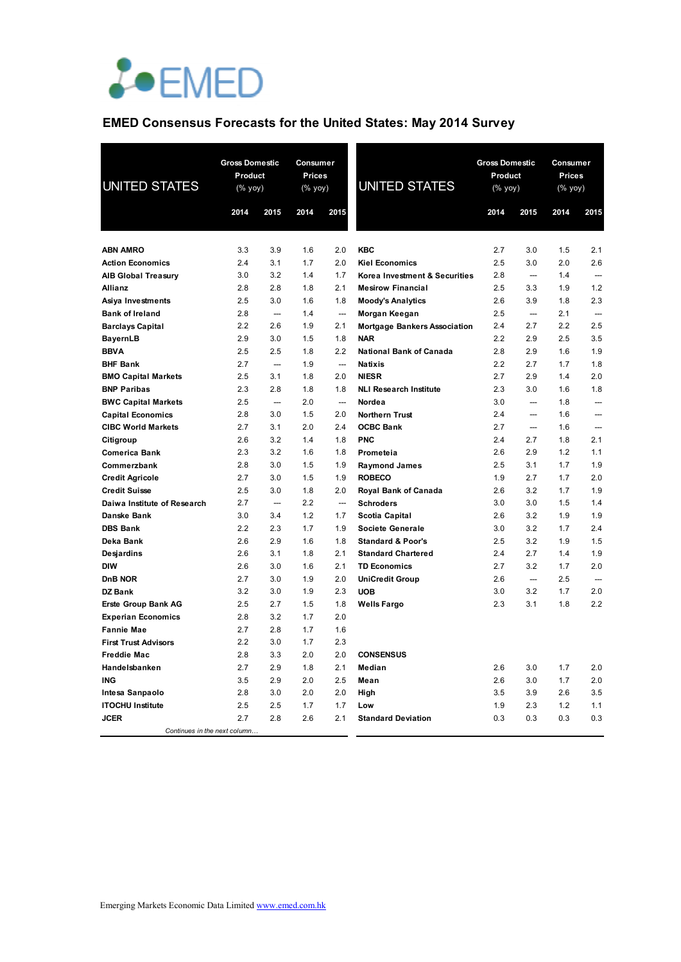

## **EMED Consensus Forecasts for the United States: May 2014 Survey**

| <b>UNITED STATES</b>                                  | <b>Gross Domestic</b><br>Product<br>$(% \mathsf{Y}^{\prime }\mathsf{Y}^{\prime }\mathsf{Y}^{\prime })$ |                                 | Consumer<br>Prices<br>$(% \mathsf{Y}^{\prime }\mathsf{Y}^{\prime })$ (% $\mathsf{Y}^{\prime }\mathsf{Y}^{\prime })$ |                                 | <b>UNITED STATES</b>                | <b>Gross Domestic</b><br>Product<br>$(\%$ yoy) |                          | Consumer<br><b>Prices</b><br>(% yoy) |                          |
|-------------------------------------------------------|--------------------------------------------------------------------------------------------------------|---------------------------------|---------------------------------------------------------------------------------------------------------------------|---------------------------------|-------------------------------------|------------------------------------------------|--------------------------|--------------------------------------|--------------------------|
|                                                       | 2014                                                                                                   | 2015                            | 2014                                                                                                                | 2015                            |                                     | 2014                                           | 2015                     | 2014                                 | 2015                     |
|                                                       |                                                                                                        |                                 |                                                                                                                     |                                 |                                     |                                                |                          |                                      |                          |
| <b>ABN AMRO</b>                                       | 3.3                                                                                                    | 3.9                             | 1.6                                                                                                                 | 2.0                             | <b>KBC</b>                          | 2.7                                            | 3.0                      | 1.5                                  | 2.1                      |
| <b>Action Economics</b>                               | 2.4                                                                                                    | 3.1                             | 1.7                                                                                                                 | 2.0                             | <b>Kiel Economics</b>               | 2.5                                            | 3.0                      | 2.0                                  | 2.6                      |
| <b>AIB Global Treasury</b>                            | 3.0                                                                                                    | 3.2                             | 1.4                                                                                                                 | 1.7                             | Korea Investment & Securities       | 2.8                                            | $\overline{a}$           | 1.4                                  |                          |
| Allianz                                               | 2.8                                                                                                    | 2.8                             | 1.8                                                                                                                 | 2.1                             | <b>Mesirow Financial</b>            | 2.5                                            | 3.3                      | 1.9                                  | 1.2                      |
| Asiya Investments                                     | 2.5                                                                                                    | 3.0                             | 1.6                                                                                                                 | 1.8                             | <b>Moody's Analytics</b>            | 2.6                                            | 3.9                      | 1.8                                  | 2.3                      |
| <b>Bank of Ireland</b>                                | 2.8                                                                                                    | $\overline{a}$                  | 1.4                                                                                                                 | $\overline{\phantom{a}}$        | Morgan Keegan                       | 2.5                                            | $\overline{a}$           | 2.1                                  | $\overline{\phantom{a}}$ |
| <b>Barclays Capital</b>                               | 2.2                                                                                                    | 2.6                             | 1.9                                                                                                                 | 2.1                             | <b>Mortgage Bankers Association</b> | 2.4                                            | 2.7                      | 2.2                                  | 2.5                      |
| <b>BayernLB</b>                                       | 2.9                                                                                                    | 3.0                             | 1.5                                                                                                                 | 1.8                             | <b>NAR</b>                          | 2.2                                            | 2.9                      | 2.5                                  | 3.5                      |
| <b>BBVA</b>                                           | 2.5                                                                                                    | 2.5                             | 1.8                                                                                                                 | 2.2                             | <b>National Bank of Canada</b>      | 2.8                                            | 2.9                      | 1.6                                  | 1.9                      |
| <b>BHF Bank</b>                                       | 2.7                                                                                                    | $\overline{\phantom{a}}$        | 1.9                                                                                                                 | $\overline{\phantom{a}}$        | <b>Natixis</b>                      | 2.2                                            | 2.7                      | 1.7                                  | 1.8                      |
| <b>BMO Capital Markets</b>                            | 2.5                                                                                                    | 3.1                             | 1.8                                                                                                                 | 2.0                             | <b>NIESR</b>                        | 2.7                                            | 2.9                      | 1.4                                  | 2.0                      |
| <b>BNP Paribas</b>                                    | 2.3                                                                                                    | 2.8<br>$\overline{\phantom{a}}$ | 1.8                                                                                                                 | 1.8<br>$\overline{\phantom{a}}$ | <b>NLI Research Institute</b>       | 2.3                                            | 3.0<br>$\sim$            | 1.6                                  | 1.8                      |
| <b>BWC Capital Markets</b>                            | 2.5<br>2.8                                                                                             | 3.0                             | 2.0<br>1.5                                                                                                          | 2.0                             | Nordea<br><b>Northern Trust</b>     | 3.0<br>2.4                                     | $\overline{\phantom{a}}$ | 1.8<br>1.6                           |                          |
| <b>Capital Economics</b><br><b>CIBC World Markets</b> | 2.7                                                                                                    | 3.1                             | 2.0                                                                                                                 | 2.4                             | <b>OCBC Bank</b>                    | 2.7                                            | $\overline{\phantom{a}}$ | 1.6                                  |                          |
| Citigroup                                             | 2.6                                                                                                    | 3.2                             | 1.4                                                                                                                 | 1.8                             | <b>PNC</b>                          | 2.4                                            | 2.7                      | 1.8                                  | 2.1                      |
| <b>Comerica Bank</b>                                  | 2.3                                                                                                    | 3.2                             | 1.6                                                                                                                 | 1.8                             | Prometeia                           | 2.6                                            | 2.9                      | 1.2                                  | 1.1                      |
| Commerzbank                                           | 2.8                                                                                                    | 3.0                             | 1.5                                                                                                                 | 1.9                             | <b>Raymond James</b>                | 2.5                                            | 3.1                      | 1.7                                  | 1.9                      |
| <b>Credit Agricole</b>                                | 2.7                                                                                                    | 3.0                             | 1.5                                                                                                                 | 1.9                             | <b>ROBECO</b>                       | 1.9                                            | 2.7                      | 1.7                                  | 2.0                      |
| <b>Credit Suisse</b>                                  | 2.5                                                                                                    | 3.0                             | 1.8                                                                                                                 | 2.0                             | Royal Bank of Canada                | 2.6                                            | 3.2                      | 1.7                                  | 1.9                      |
| Daiwa Institute of Research                           | 2.7                                                                                                    | $\overline{\phantom{a}}$        | 2.2                                                                                                                 | $\overline{\phantom{a}}$        | <b>Schroders</b>                    | 3.0                                            | 3.0                      | 1.5                                  | 1.4                      |
| <b>Danske Bank</b>                                    | 3.0                                                                                                    | 3.4                             | 1.2                                                                                                                 | 1.7                             | Scotia Capital                      | 2.6                                            | 3.2                      | 1.9                                  | 1.9                      |
| <b>DBS Bank</b>                                       | 2.2                                                                                                    | 2.3                             | 1.7                                                                                                                 | 1.9                             | Societe Generale                    | 3.0                                            | 3.2                      | 1.7                                  | 2.4                      |
| Deka Bank                                             | 2.6                                                                                                    | 2.9                             | 1.6                                                                                                                 | 1.8                             | <b>Standard &amp; Poor's</b>        | 2.5                                            | 3.2                      | 1.9                                  | 1.5                      |
| <b>Desjardins</b>                                     | 2.6                                                                                                    | 3.1                             | 1.8                                                                                                                 | 2.1                             | <b>Standard Chartered</b>           | 2.4                                            | 2.7                      | 1.4                                  | 1.9                      |
| <b>DIW</b>                                            | 2.6                                                                                                    | 3.0                             | 1.6                                                                                                                 | 2.1                             | <b>TD Economics</b>                 | 2.7                                            | 3.2                      | 1.7                                  | 2.0                      |
| DnB NOR                                               | 2.7                                                                                                    | 3.0                             | 1.9                                                                                                                 | 2.0                             | <b>UniCredit Group</b>              | 2.6                                            | $\overline{\phantom{a}}$ | $2.5\,$                              |                          |
| <b>DZ Bank</b>                                        | 3.2                                                                                                    | 3.0                             | 1.9                                                                                                                 | 2.3                             | <b>UOB</b>                          | 3.0                                            | 3.2                      | 1.7                                  | 2.0                      |
| <b>Erste Group Bank AG</b>                            | 2.5                                                                                                    | 2.7                             | 1.5                                                                                                                 | 1.8                             | <b>Wells Fargo</b>                  | 2.3                                            | 3.1                      | 1.8                                  | 2.2                      |
| <b>Experian Economics</b>                             | 2.8                                                                                                    | 3.2                             | 1.7                                                                                                                 | 2.0                             |                                     |                                                |                          |                                      |                          |
| <b>Fannie Mae</b>                                     | 2.7                                                                                                    | 2.8                             | 1.7                                                                                                                 | 1.6                             |                                     |                                                |                          |                                      |                          |
| <b>First Trust Advisors</b>                           | 2.2                                                                                                    | 3.0                             | 1.7                                                                                                                 | 2.3                             |                                     |                                                |                          |                                      |                          |
| <b>Freddie Mac</b>                                    | 2.8                                                                                                    | 3.3                             | 2.0                                                                                                                 | 2.0                             | <b>CONSENSUS</b>                    |                                                |                          |                                      |                          |
| Handelsbanken                                         | 2.7                                                                                                    | 2.9                             | 1.8                                                                                                                 | 2.1                             | Median                              | 2.6                                            | 3.0                      | 1.7                                  | 2.0                      |
| <b>ING</b>                                            | 3.5                                                                                                    | 2.9                             | 2.0                                                                                                                 | 2.5                             | Mean                                | 2.6                                            | 3.0                      | 1.7                                  | 2.0                      |
| Intesa Sanpaolo                                       | 2.8                                                                                                    | 3.0                             | 2.0                                                                                                                 | 2.0                             | High                                | 3.5                                            | 3.9                      | 2.6                                  | 3.5                      |
| <b>ITOCHU Institute</b>                               | 2.5                                                                                                    | 2.5                             | 1.7                                                                                                                 | 1.7                             | Low                                 | 1.9                                            | 2.3                      | 1.2                                  | 1.1                      |
| <b>JCER</b>                                           | 2.7                                                                                                    | 2.8                             | 2.6                                                                                                                 | 2.1                             | <b>Standard Deviation</b>           | 0.3                                            | 0.3                      | 0.3                                  | 0.3                      |
| Continues in the next column                          |                                                                                                        |                                 |                                                                                                                     |                                 |                                     |                                                |                          |                                      |                          |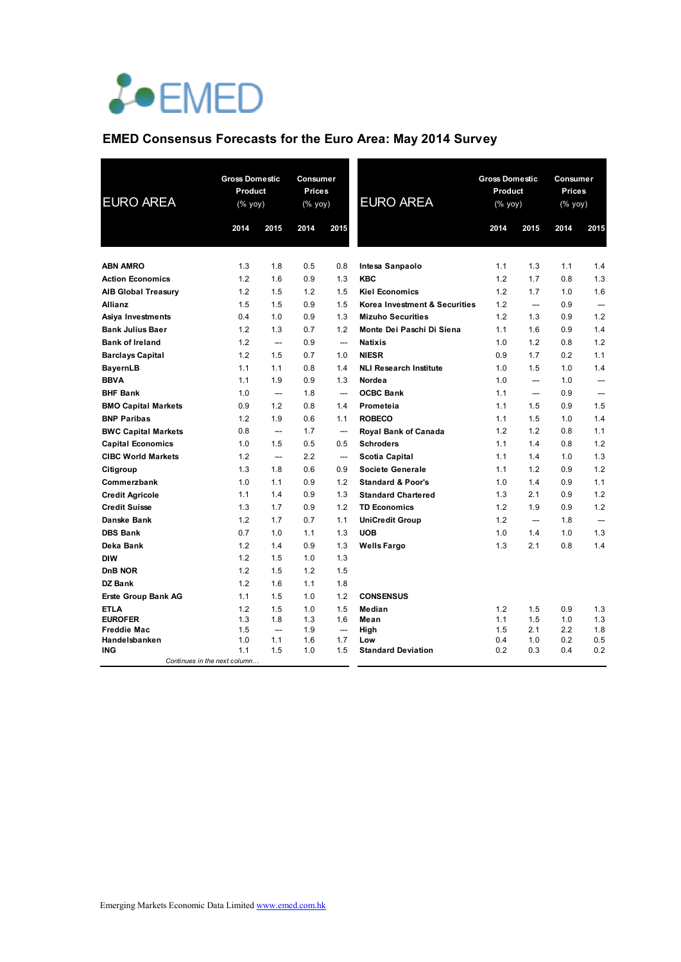

## **EMED Consensus Forecasts for the Euro Area: May 2014 Survey**

| <b>EURO AREA</b>                    | <b>Gross Domestic</b><br>Product<br>$(% \mathsf{Y}^{\prime }\mathsf{Y}^{\prime }\mathsf{Y}^{\prime })$ |                          | Consumer<br>Prices<br>(% yoy) |                                 | <b>EURO AREA</b>              | <b>Gross Domestic</b><br>Product<br>$(% \mathsf{Y}^{\prime }\mathsf{Y}^{\prime }\mathsf{Y}^{\prime })$ |                          | Consumer<br>Prices<br>(% yoy) |                          |
|-------------------------------------|--------------------------------------------------------------------------------------------------------|--------------------------|-------------------------------|---------------------------------|-------------------------------|--------------------------------------------------------------------------------------------------------|--------------------------|-------------------------------|--------------------------|
|                                     | 2014                                                                                                   | 2015                     | 2014                          | 2015                            |                               | 2014                                                                                                   | 2015                     | 2014                          | 2015                     |
|                                     |                                                                                                        |                          |                               |                                 |                               |                                                                                                        |                          |                               |                          |
| <b>ABN AMRO</b>                     | 1.3                                                                                                    | 1.8                      | 0.5                           | 0.8                             | Intesa Sanpaolo               | 1.1                                                                                                    | 1.3                      | 1.1                           | 1.4                      |
| <b>Action Economics</b>             | 1.2                                                                                                    | 1.6                      | 0.9                           | 1.3                             | <b>KBC</b>                    | 1.2                                                                                                    | 1.7                      | 0.8                           | 1.3                      |
| <b>AIB Global Treasury</b>          | 1.2                                                                                                    | 1.5                      | 1.2                           | 1.5                             | <b>Kiel Economics</b>         | 1.2                                                                                                    | 1.7                      | 1.0                           | 1.6                      |
| <b>Allianz</b>                      | 1.5                                                                                                    | 1.5                      | 0.9                           | 1.5                             | Korea Investment & Securities | 1.2                                                                                                    | $\overline{\phantom{a}}$ | 0.9                           | $\overline{\phantom{a}}$ |
| Asiya Investments                   | 0.4                                                                                                    | 1.0                      | 0.9                           | 1.3                             | <b>Mizuho Securities</b>      | 1.2                                                                                                    | 1.3                      | 0.9                           | 1.2                      |
| <b>Bank Julius Baer</b>             | 1.2                                                                                                    | 1.3                      | 0.7                           | 1.2                             | Monte Dei Paschi Di Siena     | 1.1                                                                                                    | 1.6                      | 0.9                           | 1.4                      |
| <b>Bank of Ireland</b>              | 1.2                                                                                                    | $\overline{\phantom{a}}$ | 0.9                           | $\overline{\phantom{a}}$        | <b>Natixis</b>                | 1.0                                                                                                    | 1.2                      | 0.8                           | 1.2                      |
| <b>Barclays Capital</b>             | 1.2                                                                                                    | 1.5                      | 0.7                           | 1.0                             | <b>NIESR</b>                  | 0.9                                                                                                    | 1.7                      | 0.2                           | 1.1                      |
| <b>BayernLB</b>                     | 1.1                                                                                                    | 1.1                      | 0.8                           | 1.4                             | <b>NLI Research Institute</b> | 1.0                                                                                                    | 1.5                      | 1.0                           | 1.4                      |
| <b>BBVA</b>                         | 1.1                                                                                                    | 1.9                      | 0.9                           | 1.3                             | Nordea                        | 1.0                                                                                                    | $\overline{\phantom{a}}$ | 1.0                           | ---                      |
| <b>BHF Bank</b>                     | 1.0                                                                                                    | —                        | 1.8                           | $\overline{\phantom{a}}$        | <b>OCBC Bank</b>              | 1.1                                                                                                    | $\overline{\phantom{a}}$ | 0.9                           | ---                      |
| <b>BMO Capital Markets</b>          | 0.9                                                                                                    | 1.2                      | 0.8                           | 1.4                             | Prometeia                     | 1.1                                                                                                    | 1.5                      | 0.9                           | 1.5                      |
| <b>BNP Paribas</b>                  | 1.2                                                                                                    | 1.9                      | 0.6                           | 1.1                             | <b>ROBECO</b>                 | 1.1                                                                                                    | 1.5                      | 1.0                           | 1.4                      |
| <b>BWC Capital Markets</b>          | 0.8                                                                                                    | $\overline{\phantom{a}}$ | 1.7                           | $\overline{\phantom{a}}$        | Royal Bank of Canada          | 1.2                                                                                                    | 1.2                      | 0.8                           | 1.1                      |
| <b>Capital Economics</b>            | 1.0                                                                                                    | 1.5                      | 0.5                           | 0.5                             | <b>Schroders</b>              | 1.1                                                                                                    | 1.4                      | 0.8                           | 1.2                      |
| <b>CIBC World Markets</b>           | 1.2                                                                                                    | $\overline{\phantom{a}}$ | 2.2                           | $\overline{\phantom{a}}$        | Scotia Capital                | 1.1                                                                                                    | 1.4                      | 1.0                           | 1.3                      |
| Citigroup                           | 1.3                                                                                                    | 1.8                      | 0.6                           | 0.9                             | Societe Generale              | 1.1                                                                                                    | 1.2                      | 0.9                           | 1.2                      |
| Commerzbank                         | 1.0                                                                                                    | 1.1                      | 0.9                           | 1.2                             | <b>Standard &amp; Poor's</b>  | 1.0                                                                                                    | 1.4                      | 0.9                           | 1.1                      |
| <b>Credit Agricole</b>              | 1.1                                                                                                    | 1.4                      | 0.9                           | 1.3                             | <b>Standard Chartered</b>     | 1.3                                                                                                    | 2.1                      | 0.9                           | 1.2                      |
| <b>Credit Suisse</b>                | 1.3                                                                                                    | 1.7                      | 0.9                           | 1.2                             | <b>TD Economics</b>           | 1.2                                                                                                    | 1.9                      | 0.9                           | 1.2                      |
| <b>Danske Bank</b>                  | 1.2                                                                                                    | 1.7                      | 0.7                           | 1.1                             | <b>UniCredit Group</b>        | 1.2                                                                                                    | $\overline{\phantom{a}}$ | 1.8                           |                          |
| <b>DBS Bank</b>                     | 0.7                                                                                                    | 1.0                      | 1.1                           | 1.3                             | <b>UOB</b>                    | 1.0                                                                                                    | 1.4                      | 1.0                           | 1.3                      |
| Deka Bank                           | 1.2                                                                                                    | 1.4                      | 0.9                           | 1.3                             | <b>Wells Fargo</b>            | 1.3                                                                                                    | 2.1                      | 0.8                           | 1.4                      |
| <b>DIW</b>                          | 1.2                                                                                                    | 1.5                      | 1.0                           | 1.3                             |                               |                                                                                                        |                          |                               |                          |
| DnB NOR                             | 1.2                                                                                                    | 1.5                      | 1.2                           | 1.5                             |                               |                                                                                                        |                          |                               |                          |
| <b>DZ Bank</b>                      | 1.2                                                                                                    | 1.6                      | 1.1                           | 1.8                             |                               |                                                                                                        |                          |                               |                          |
| <b>Erste Group Bank AG</b>          | 1.1                                                                                                    | 1.5                      | 1.0                           | 1.2                             | <b>CONSENSUS</b>              |                                                                                                        |                          |                               |                          |
| <b>ETLA</b>                         | 1.2                                                                                                    | 1.5                      | 1.0                           | 1.5                             | Median                        | 1.2                                                                                                    | 1.5                      | 0.9                           | 1.3                      |
| <b>EUROFER</b>                      | 1.3                                                                                                    | 1.8                      | 1.3                           | 1.6                             | Mean                          | 1.1                                                                                                    | 1.5                      | 1.0                           | 1.3                      |
| <b>Freddie Mac</b><br>Handelsbanken | 1.5<br>1.0                                                                                             | ---<br>1.1               | 1.9<br>1.6                    | $\overline{\phantom{a}}$<br>1.7 | High<br>Low                   | 1.5<br>0.4                                                                                             | 2.1<br>1.0               | 2.2<br>0.2                    | 1.8<br>0.5               |
| <b>ING</b>                          | 1.1                                                                                                    | 1.5                      | 1.0                           | 1.5                             | <b>Standard Deviation</b>     | 0.2                                                                                                    | 0.3                      | 0.4                           | 0.2                      |
| Continues in the next column        |                                                                                                        |                          |                               |                                 |                               |                                                                                                        |                          |                               |                          |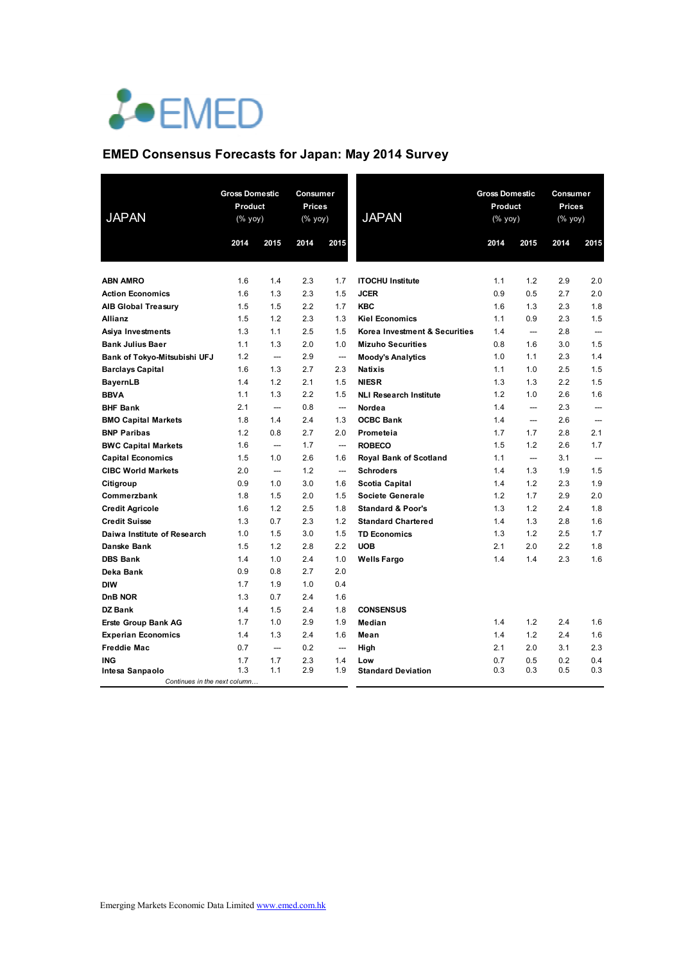# LOEMED

## **EMED Consensus Forecasts for Japan: May 2014 Survey**

| <b>JAPAN</b>                                     | <b>Gross Domestic</b><br>Product<br>(% yoy) |                          | Consumer<br>Prices<br>$(% \mathsf{y}\right)$ (% yoy) |                                 | <b>JAPAN</b>                                      |            | <b>Gross Domestic</b><br>Product<br>(% yoy) |            | Consumer<br><b>Prices</b><br>$(% \mathsf{Y}^{\prime }\mathsf{Y}^{\prime }\mathsf{Y}^{\prime })$ |
|--------------------------------------------------|---------------------------------------------|--------------------------|------------------------------------------------------|---------------------------------|---------------------------------------------------|------------|---------------------------------------------|------------|-------------------------------------------------------------------------------------------------|
|                                                  | 2014                                        | 2015                     | 2014                                                 | 2015                            |                                                   | 2014       | 2015                                        | 2014       | 2015                                                                                            |
|                                                  |                                             |                          |                                                      |                                 |                                                   |            |                                             |            |                                                                                                 |
| <b>ABN AMRO</b>                                  | 1.6                                         | 1.4                      | 2.3<br>2.3                                           | 1.7                             | <b>ITOCHU Institute</b>                           | 1.1<br>0.9 | 1.2<br>0.5                                  | 2.9<br>2.7 | 2.0<br>2.0                                                                                      |
| <b>Action Economics</b>                          | 1.6                                         | 1.3                      |                                                      | 1.5                             | <b>JCER</b>                                       |            |                                             |            |                                                                                                 |
| <b>AIB Global Treasury</b>                       | 1.5                                         | 1.5                      | 2.2                                                  | 1.7                             | <b>KBC</b>                                        | 1.6        | 1.3                                         | 2.3        | 1.8                                                                                             |
| Allianz                                          | 1.5                                         | 1.2                      | 2.3                                                  | 1.3                             | <b>Kiel Economics</b>                             | 1.1        | 0.9                                         | 2.3        | 1.5                                                                                             |
| Asiya Investments                                | 1.3                                         | 1.1                      | 2.5                                                  | 1.5<br>1.0                      | Korea Investment & Securities                     | 1.4        | ---<br>1.6                                  | 2.8        | ---<br>1.5                                                                                      |
| <b>Bank Julius Baer</b>                          | 1.1<br>1.2                                  | 1.3                      | 2.0<br>2.9                                           |                                 | <b>Mizuho Securities</b>                          | 0.8<br>1.0 |                                             | 3.0<br>2.3 | 1.4                                                                                             |
| Bank of Tokyo-Mitsubishi UFJ                     | 1.6                                         | ---<br>1.3               | 2.7                                                  | $\overline{\phantom{a}}$<br>2.3 | <b>Moody's Analytics</b>                          | 1.1        | 1.1<br>1.0                                  | 2.5        | 1.5                                                                                             |
| <b>Barclays Capital</b>                          | 1.4                                         | 1.2                      | 2.1                                                  | 1.5                             | <b>Natixis</b><br><b>NIESR</b>                    | 1.3        | 1.3                                         | 2.2        | 1.5                                                                                             |
| <b>BayernLB</b>                                  | 1.1                                         | 1.3                      | 2.2                                                  | 1.5                             |                                                   | 1.2        | 1.0                                         | 2.6        | 1.6                                                                                             |
| <b>BBVA</b><br><b>BHF Bank</b>                   | 2.1                                         | $\overline{a}$           | 0.8                                                  | $\overline{\phantom{a}}$        | <b>NLI Research Institute</b><br>Nordea           | 1.4        | $\overline{\phantom{a}}$                    | 2.3        | $\overline{\phantom{a}}$                                                                        |
|                                                  | 1.8                                         | 1.4                      | 2.4                                                  | 1.3                             | <b>OCBC Bank</b>                                  | 1.4        | $-$                                         | 2.6        | $\overline{\phantom{a}}$                                                                        |
| <b>BMO Capital Markets</b><br><b>BNP Paribas</b> | 1.2                                         | 0.8                      | 2.7                                                  | 2.0                             | Prometeia                                         | 1.7        | 1.7                                         | 2.8        | 2.1                                                                                             |
|                                                  | 1.6                                         | ---                      | 1.7                                                  | —                               | <b>ROBECO</b>                                     | 1.5        | 1.2                                         | 2.6        | 1.7                                                                                             |
| <b>BWC Capital Markets</b>                       | 1.5                                         | 1.0                      | 2.6                                                  | 1.6                             |                                                   | 1.1        | ---                                         | 3.1        | ---                                                                                             |
| <b>Capital Economics</b>                         | 2.0                                         |                          | 1.2                                                  | $\overline{\phantom{a}}$        | <b>Royal Bank of Scotland</b><br><b>Schroders</b> | 1.4        |                                             | 1.9        | 1.5                                                                                             |
| <b>CIBC World Markets</b>                        | 0.9                                         | $\hspace{0.05cm}$<br>1.0 | 3.0                                                  | 1.6                             |                                                   | 1.4        | 1.3<br>1.2                                  | 2.3        | 1.9                                                                                             |
| Citigroup                                        | 1.8                                         | 1.5                      | 2.0                                                  | 1.5                             | Scotia Capital                                    | 1.2        | 1.7                                         | 2.9        | 2.0                                                                                             |
| Commerzbank                                      |                                             |                          | 2.5                                                  |                                 | Societe Generale                                  |            |                                             |            | 1.8                                                                                             |
| <b>Credit Agricole</b>                           | 1.6                                         | 1.2                      |                                                      | 1.8                             | <b>Standard &amp; Poor's</b>                      | 1.3        | 1.2                                         | 2.4        |                                                                                                 |
| <b>Credit Suisse</b>                             | 1.3                                         | 0.7                      | 2.3                                                  | 1.2                             | <b>Standard Chartered</b>                         | 1.4        | 1.3                                         | 2.8        | 1.6                                                                                             |
| Daiwa Institute of Research                      | 1.0                                         | 1.5                      | 3.0                                                  | 1.5                             | <b>TD Economics</b>                               | 1.3        | 1.2                                         | 2.5        | 1.7                                                                                             |
| Danske Bank                                      | 1.5                                         | 1.2                      | 2.8                                                  | 2.2                             | <b>UOB</b>                                        | 2.1        | 2.0                                         | 2.2        | 1.8                                                                                             |
| <b>DBS Bank</b>                                  | 1.4                                         | 1.0                      | 2.4                                                  | 1.0                             | <b>Wells Fargo</b>                                | 1.4        | 1.4                                         | 2.3        | 1.6                                                                                             |
| Deka Bank                                        | 0.9                                         | 0.8                      | 2.7                                                  | 2.0                             |                                                   |            |                                             |            |                                                                                                 |
| <b>DIW</b>                                       | 1.7                                         | 1.9                      | 1.0                                                  | 0.4                             |                                                   |            |                                             |            |                                                                                                 |
| D <sub>n</sub> B NOR                             | 1.3                                         | 0.7                      | 2.4                                                  | 1.6                             |                                                   |            |                                             |            |                                                                                                 |
| <b>DZ Bank</b>                                   | 1.4                                         | 1.5                      | 2.4                                                  | 1.8                             | <b>CONSENSUS</b>                                  |            |                                             |            |                                                                                                 |
| <b>Erste Group Bank AG</b>                       | 1.7                                         | 1.0                      | 2.9                                                  | 1.9                             | Median                                            | 1.4        | 1.2                                         | 2.4        | 1.6                                                                                             |
| <b>Experian Economics</b>                        | 1.4                                         | 1.3                      | 2.4                                                  | 1.6                             | Mean                                              | 1.4        | 1.2                                         | 2.4        | 1.6                                                                                             |
| <b>Freddie Mac</b>                               | 0.7                                         | $\overline{\phantom{a}}$ | 0.2                                                  | $\overline{\phantom{a}}$        | High                                              | 2.1        | 2.0                                         | 3.1        | 2.3                                                                                             |
| <b>ING</b><br>Intesa Sanpaolo                    | 1.7<br>1.3                                  | 1.7<br>1.1               | 2.3<br>2.9                                           | 1.4<br>1.9                      | Low<br><b>Standard Deviation</b>                  | 0.7<br>0.3 | 0.5<br>0.3                                  | 0.2<br>0.5 | 0.4<br>0.3                                                                                      |
| Continues in the next column                     |                                             |                          |                                                      |                                 |                                                   |            |                                             |            |                                                                                                 |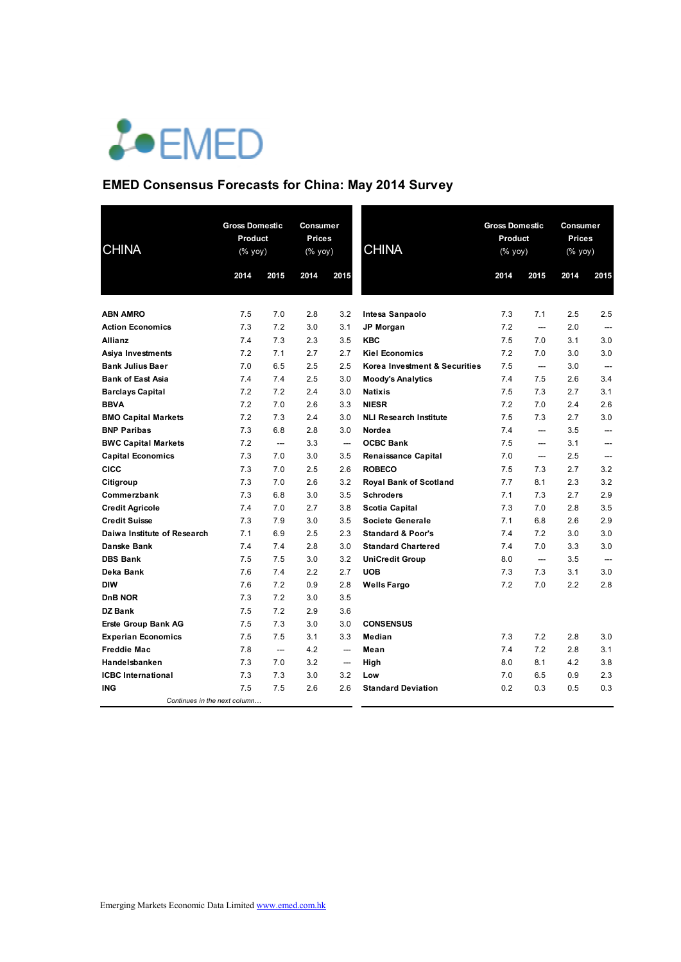

## **EMED Consensus Forecasts for China: May 2014 Survey**

| <b>CHINA</b>                 |      | <b>Gross Domestic</b><br>Product<br>$(% \mathsf{Y}^{\prime }\mathsf{Y}^{\prime })$ (% $\mathsf{Y}^{\prime }\mathsf{Y}^{\prime })$ |      | Consumer<br><b>Prices</b><br>(% yoy) | <b>CHINA</b>                  | <b>Gross Domestic</b><br>Product<br>$(\%$ yoy) |                          | Consumer<br><b>Prices</b><br>(% yoy) |                          |
|------------------------------|------|-----------------------------------------------------------------------------------------------------------------------------------|------|--------------------------------------|-------------------------------|------------------------------------------------|--------------------------|--------------------------------------|--------------------------|
|                              | 2014 | 2015                                                                                                                              | 2014 | 2015                                 |                               | 2014                                           | 2015                     | 2014                                 | 2015                     |
| <b>ABN AMRO</b>              | 7.5  | 7.0                                                                                                                               | 2.8  | 3.2                                  | Intesa Sanpaolo               | 7.3                                            | 7.1                      | 2.5                                  | 2.5                      |
| <b>Action Economics</b>      | 7.3  | 7.2                                                                                                                               | 3.0  | 3.1                                  | JP Morgan                     | 7.2                                            | $\overline{\phantom{a}}$ | 2.0                                  |                          |
| Allianz                      | 7.4  | 7.3                                                                                                                               | 2.3  | 3.5                                  | <b>KBC</b>                    | 7.5                                            | 7.0                      | 3.1                                  | 3.0                      |
| Asiya Investments            | 7.2  | 7.1                                                                                                                               | 2.7  | 2.7                                  | <b>Kiel Economics</b>         | 7.2                                            | 7.0                      | 3.0                                  | 3.0                      |
| <b>Bank Julius Baer</b>      | 7.0  | 6.5                                                                                                                               | 2.5  | 2.5                                  | Korea Investment & Securities | 7.5                                            | $\overline{\phantom{a}}$ | 3.0                                  | $\overline{\phantom{a}}$ |
| <b>Bank of East Asia</b>     | 7.4  | 7.4                                                                                                                               | 2.5  | 3.0                                  | <b>Moody's Analytics</b>      | 7.4                                            | 7.5                      | 2.6                                  | 3.4                      |
| <b>Barclays Capital</b>      | 7.2  | 7.2                                                                                                                               | 2.4  | 3.0                                  | <b>Natixis</b>                | 7.5                                            | 7.3                      | 2.7                                  | 3.1                      |
| <b>BBVA</b>                  | 7.2  | 7.0                                                                                                                               | 2.6  | 3.3                                  | <b>NIESR</b>                  | 7.2                                            | 7.0                      | 2.4                                  | 2.6                      |
| <b>BMO Capital Markets</b>   | 7.2  | 7.3                                                                                                                               | 2.4  | 3.0                                  | <b>NLI Research Institute</b> | 7.5                                            | 7.3                      | 2.7                                  | 3.0                      |
| <b>BNP Paribas</b>           | 7.3  | 6.8                                                                                                                               | 2.8  | 3.0                                  | Nordea                        | 7.4                                            | ---                      | 3.5                                  | $\overline{\phantom{a}}$ |
| <b>BWC Capital Markets</b>   | 7.2  | ---                                                                                                                               | 3.3  | $\overline{\phantom{a}}$             | <b>OCBC Bank</b>              | 7.5                                            | ---                      | 3.1                                  | $\overline{a}$           |
| <b>Capital Economics</b>     | 7.3  | 7.0                                                                                                                               | 3.0  | 3.5                                  | Renaissance Capital           | 7.0                                            | ---                      | 2.5                                  | ---                      |
| CICC                         | 7.3  | 7.0                                                                                                                               | 2.5  | 2.6                                  | <b>ROBECO</b>                 | 7.5                                            | 7.3                      | 2.7                                  | 3.2                      |
| Citigroup                    | 7.3  | 7.0                                                                                                                               | 2.6  | 3.2                                  | <b>Royal Bank of Scotland</b> | 7.7                                            | 8.1                      | 2.3                                  | 3.2                      |
| Commerzbank                  | 7.3  | 6.8                                                                                                                               | 3.0  | 3.5                                  | <b>Schroders</b>              | 7.1                                            | 7.3                      | 2.7                                  | 2.9                      |
| <b>Credit Agricole</b>       | 7.4  | 7.0                                                                                                                               | 2.7  | 3.8                                  | Scotia Capital                | 7.3                                            | 7.0                      | 2.8                                  | 3.5                      |
| <b>Credit Suisse</b>         | 7.3  | 7.9                                                                                                                               | 3.0  | 3.5                                  | <b>Societe Generale</b>       | 7.1                                            | 6.8                      | 2.6                                  | 2.9                      |
| Daiwa Institute of Research  | 7.1  | 6.9                                                                                                                               | 2.5  | 2.3                                  | <b>Standard &amp; Poor's</b>  | 7.4                                            | 7.2                      | 3.0                                  | 3.0                      |
| <b>Danske Bank</b>           | 7.4  | 7.4                                                                                                                               | 2.8  | 3.0                                  | <b>Standard Chartered</b>     | 7.4                                            | 7.0                      | 3.3                                  | 3.0                      |
| <b>DBS Bank</b>              | 7.5  | 7.5                                                                                                                               | 3.0  | 3.2                                  | <b>UniCredit Group</b>        | 8.0                                            | $\overline{\phantom{a}}$ | 3.5                                  | $\overline{a}$           |
| Deka Bank                    | 7.6  | 7.4                                                                                                                               | 2.2  | 2.7                                  | <b>UOB</b>                    | 7.3                                            | 7.3                      | 3.1                                  | 3.0                      |
| <b>DIW</b>                   | 7.6  | 7.2                                                                                                                               | 0.9  | 2.8                                  | <b>Wells Fargo</b>            | 7.2                                            | 7.0                      | 2.2                                  | 2.8                      |
| <b>DnB NOR</b>               | 7.3  | 7.2                                                                                                                               | 3.0  | 3.5                                  |                               |                                                |                          |                                      |                          |
| <b>DZ Bank</b>               | 7.5  | 7.2                                                                                                                               | 2.9  | 3.6                                  |                               |                                                |                          |                                      |                          |
| <b>Erste Group Bank AG</b>   | 7.5  | 7.3                                                                                                                               | 3.0  | 3.0                                  | <b>CONSENSUS</b>              |                                                |                          |                                      |                          |
| <b>Experian Economics</b>    | 7.5  | 7.5                                                                                                                               | 3.1  | 3.3                                  | Median                        | 7.3                                            | 7.2                      | 2.8                                  | 3.0                      |
| <b>Freddie Mac</b>           | 7.8  | $\overline{\phantom{a}}$                                                                                                          | 4.2  | $\qquad \qquad \cdots$               | Mean                          | 7.4                                            | 7.2                      | 2.8                                  | 3.1                      |
| Handelsbanken                | 7.3  | 7.0                                                                                                                               | 3.2  | $\qquad \qquad \cdots$               | High                          | 8.0                                            | 8.1                      | 4.2                                  | 3.8                      |
| <b>ICBC</b> International    | 7.3  | 7.3                                                                                                                               | 3.0  | 3.2                                  | Low                           | 7.0                                            | 6.5                      | 0.9                                  | 2.3                      |
| <b>ING</b>                   | 7.5  | 7.5                                                                                                                               | 2.6  | 2.6                                  | <b>Standard Deviation</b>     | 0.2                                            | 0.3                      | 0.5                                  | 0.3                      |
| Continues in the next column |      |                                                                                                                                   |      |                                      |                               |                                                |                          |                                      |                          |